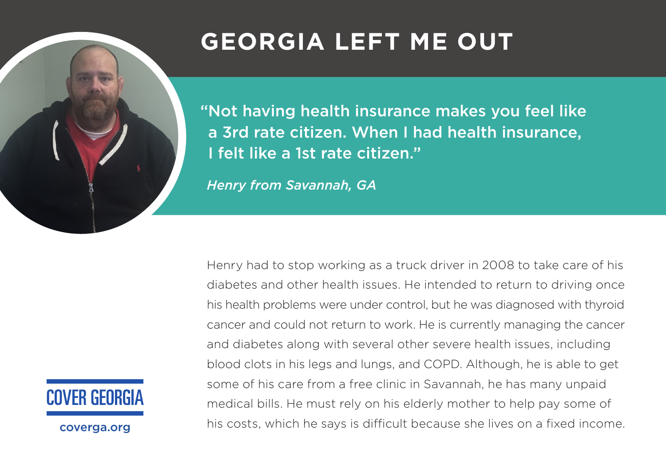# **GEORGIA LEFT ME OUT**

"Not having health insurance makes you feel like a 3rd rate citizen. When I had health insurance, I felt like a 1st rate citizen."

*Henry from Savannah, GA*

Henry had to stop working as a truck driver in 2008 to take care of his diabetes and other health issues. He intended to return to driving once his health problems were under control, but he was diagnosed with thyroid cancer and could not return to work. He is currently managing the cancer and diabetes along with several other severe health issues, including blood clots in his legs and lungs, and COPD. Although, he is able to get some of his care from a free clinic in Savannah, he has many unpaid medical bills. He must rely on his elderly mother to help pay some of his costs, which he says is difficult because she lives on a fixed income.

**COVER GEORGIA** 

coverga.org